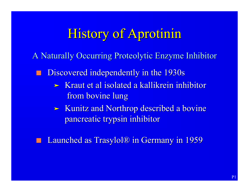#### **History of Aprotinin**

A Naturally Occurring Proteolytic Enzyme Inhibitor

Discovered independently in the 1930s

- ‰ Kraut et al isolated a kallikrein inhibitor from bovine lung
- ‰ Kunitz and Northrop described a bovine pancreatic trypsin inhibitor
- Launched as Trasylol® in Germany in 1959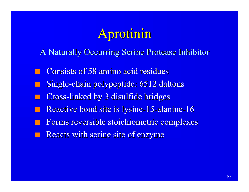### Aprotinin

A Naturally Occurring Serine Protease Inhibitor

Consists of 58 amino acid residues Single-chain polypeptide: 6512 daltons Cross-linked by 3 disulfide bridges Reactive bond site is lysine-15-alanine-16 Forms reversible stoichiometric complexes Reacts with serine site of enzyme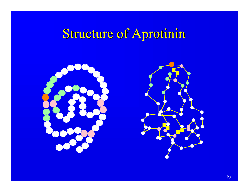# Structure of Aprotinin



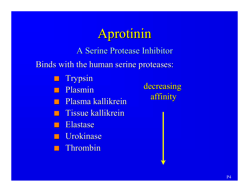# Aprotinin

A Serine Protease Inhibitor

Binds with the human serine proteases:

Trypsin

Plasmin

- **n Plasma kallikrein** 
	- Tissue kallikrein
- **Elastase**
- **n** Urokinase
- **n** Thrombin

decreasing affinity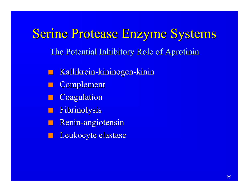Serine Protease Enzyme Systems The Potential Inhibitory Role of Aprotinin Kallikrein-kininogen-kinin **Complement Coagulation** Fibrinolysis Renin-angiotensin Leukocyte elastase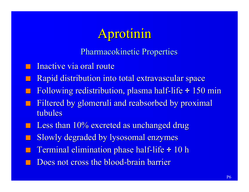## Aprotinin

Pharmacokinetic Properties

- Inactive via oral route
- Rapid distribution into total extravascular space
- n Following redistribution, plasma half-life ÷ 150 min
- Filtered by glomeruli and reabsorbed by proximal tubules
- Less than 10% excreted as unchanged drug
- Slowly degraded by lysosomal enzymes
- Terminal elimination phase half-life ÷ 10 h
- Does not cross the blood-brain barrier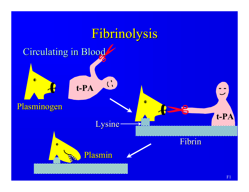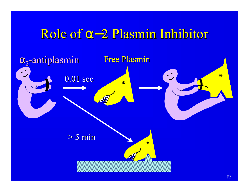## Role of - 2 Plasmin Inhibitor

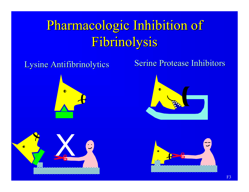# Pharmacologic Inhibition of Fibrinolysis





#### Lysine Antifibrinolytics Serine Protease Inhibitors



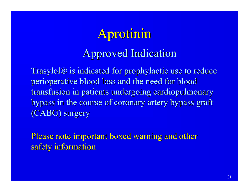# Aprotinin

#### Approved Indication

Trasylol® is indicated for prophylactic use to reduce perioperative blood loss and the need for blood transfusion in patients undergoing cardiopulmonary bypass in the course of coronary artery bypass graft (CABG) surgery

Please note important boxed warning and other safety information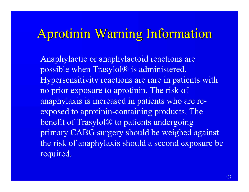### Aprotinin Warning Information

Anaphylactic or anaphylactoid reactions are possible when Trasylol® is administered. Hypersensitivity reactions are rare in patients with no prior exposure to aprotinin. The risk of anaphylaxis is increased in patients who are reexposed to aprotinin-containing products. The benefit of Trasylol® to patients undergoing primary CABG surgery should be weighed against the risk of anaphylaxis should a second exposure be required.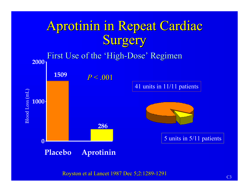# Aprotinin in Repeat Cardiac Surgery

First Use of the 'High-Dose' Regimen **2000 1509**  $P < 0.001$ 41 units in 11/11 patients Blood Loss (mL)Blood Loss (mL) **1000 286** 5 units in 5/11 patients **0 Placebo Aprotinin**

Royston et al Lancet 1987 Dec 5;2:1289-1291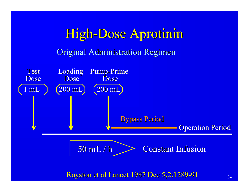# High-Dose Aprotinin Original Administration Regimen



Royston et al Lancet 1987 Dec 5;2:1289-91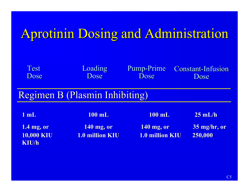# Aprotinin Dosing and Administration

| <b>Test</b>                           | Loading         | <b>Pump-Prime</b> | <b>Constant-Infusion</b> |  |  |
|---------------------------------------|-----------------|-------------------|--------------------------|--|--|
| Dose                                  | Dose            | Dose              | Dose                     |  |  |
| <b>Regimen B (Plasmin Inhibiting)</b> |                 |                   |                          |  |  |
| $1$ mL                                | <b>100 mL</b>   | <b>100 mL</b>     | $25$ mL/h                |  |  |
| 1.4 mg, or                            | 140 mg, or      | 140 mg, or        | 35 mg/hr, or             |  |  |
| <b>10,000 KIU</b>                     | 1.0 million KIU | 1.0 million KIU   | 250,000                  |  |  |
| <b>KIU/h</b>                          |                 |                   |                          |  |  |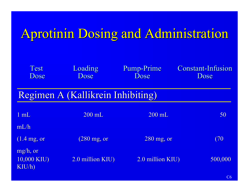# Aprotinin Dosing and Administration

| Test<br>Dose                           | Loading<br>Dose                   | Pump-Prime<br>Dose | <b>Constant-Infusion</b><br>Dose |
|----------------------------------------|-----------------------------------|--------------------|----------------------------------|
|                                        | Regimen A (Kallikrein Inhibiting) |                    |                                  |
| 1 mL                                   | 200 mL                            | 200 mL             | 50                               |
| mL/h<br>$(1.4 \text{ mg}, \text{ or})$ | $(280 \text{ mg}, \text{ or})$    | $280$ mg, or       | (70)                             |
| $mg/h$ , or<br>10,000 KIU)<br>KIU/h)   | 2.0 million KIU)                  | 2.0 million KIU)   | 500,000                          |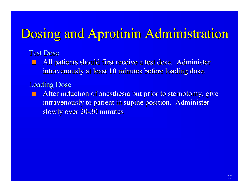### Dosing and Aprotinin Administration

#### Test Dose

**n** All patients should first receive a test dose. Administer intravenously at least 10 minutes before loading dose.

Loading Dose

After induction of anesthesia but prior to sternotomy, give intravenously to patient in supine position. Administer slowly over 20-30 minutes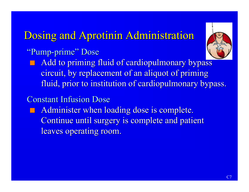#### Dosing and Aprotinin Administration

#### "Pump-prime" Dose

Add to priming fluid of cardiopulmonary bypass circuit, by replacement of an aliquot of priming fluid, prior to institution of cardiopulmonary bypass.

#### Constant Infusion Dose

Administer when loading dose is complete. Continue until surgery is complete and patient leaves operating room.

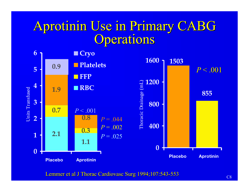### Aprotinin Use in Primary CABG **Operations**



Lemmer et al J Thorac Cardiovasc Surg 1994;107:543-553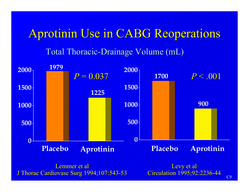#### Aprotinin Use in CABG Reoperations

Total Thoracic-Drainage Volume (mL)



J Thorac Cardiovasc Surg 1994;107:543-53

Levy et al Circulation 1995;92:2236-44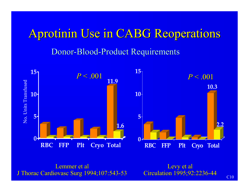#### Aprotinin Use in CABG Reoperations

#### Donor-Blood-Product Requirements



Lemmer et al J Thorac Cardiovasc Surg 1994;107:543-53

Levy et al Circulation 1995;92:2236-44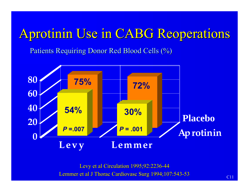## Aprotinin Use in CABG Reoperations

Patients Requiring Donor Red Blood Cells (%)



Lemmer et al J Thorac Cardiovasc Surg 1994;107:543-53 Levy et al Circulation 1995;92:2236-44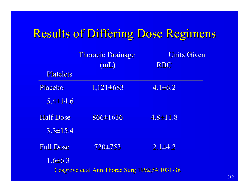#### Results of Differing Dose Regimens

|                                                | <b>Thoracic Drainage</b> | <b>Units Given</b> |  |  |
|------------------------------------------------|--------------------------|--------------------|--|--|
|                                                | (mL)                     | <b>RBC</b>         |  |  |
| <b>Platelets</b>                               |                          |                    |  |  |
| Placebo                                        | $1,121\pm 683$           | $4.1 \pm 6.2$      |  |  |
| $5.4 \pm 14.6$                                 |                          |                    |  |  |
| <b>Half Dose</b>                               | $866 \pm 1636$           | $4.8 \pm 11.8$     |  |  |
| $3.3 \pm 15.4$                                 |                          |                    |  |  |
| <b>Full Dose</b>                               | $720 \pm 753$            | $2.1 \pm 4.2$      |  |  |
| $1.6 \pm 6.3$                                  |                          |                    |  |  |
| Cosgrove et al Ann Thorac Surg 1992;54:1031-38 |                          |                    |  |  |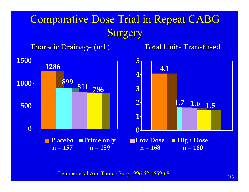#### Comparative Dose Trial in Repeat CABG **Surgery**

Thoracic Drainage (mL) Total Units Transfused



Lemmer et al Ann Thorac Surg 1996;62:1659-68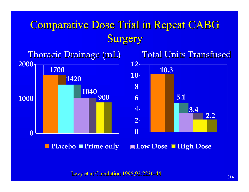#### Comparative Dose Trial in Repeat CABG Surgery



Levy et al Circulation 1995;92:2236-44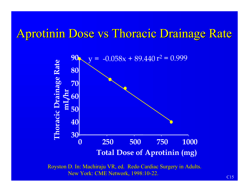#### Aprotinin Dose vs Thoracic Drainage Rate



Royston D. In: Machiraju VR, ed. Redo Cardiac Surgery in Adults. New York: CME Network, 1998:10-22.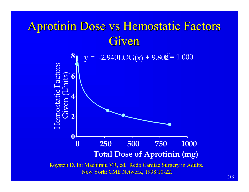### Aprotinin Dose vs Hemostatic Factors Given

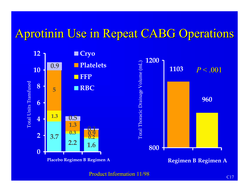#### Aprotinin Use in Repeat CABG Operations



Product Information 11/98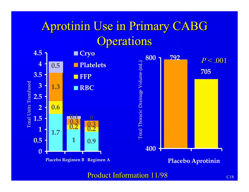### Aprotinin Use in Primary CABG **Operations**



Product Information 11/98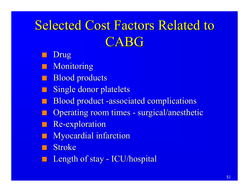# Selected Cost Factors Related to CABG

Drug

Monitoring

**Blood products** 

**Single donor platelets** 

Blood product -associated complications

Operating room times - surgical/anesthetic

**Re-exploration** 

**Myocardial infarction** 

**Stroke** 

Length of stay - ICU/hospital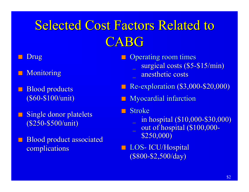# Selected Cost Factors Related to CABG

#### Drug

- Monitoring
- **Blood products** (\$60-\$100/unit)
- **Single donor platelets** (\$250-\$500/unit)
- Blood product associated complications
- **n** Operating room times surgical costs (\$5-\$15/min) anesthetic costs
- Re-exploration (\$3,000-\$20,000)
- **n Myocardial infarction**
- **Stroke** 
	- \_ in hospital (\$10,000-\$30,000)
	- out of hospital (\$100,000-\$250,000)
- **n** LOS- ICU/Hospital (\$800-\$2,500/day)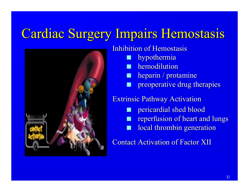### Cardiac Surgery Impairs Hemostasis



Inhibition of Hemostasis hypothermia hemodilution heparin / protamine **n preoperative drug therapies** Extrinsic Pathway Activation pericardial shed blood **n reperfusion of heart and lungs** local thrombin generation Contact Activation of Factor XII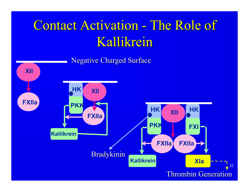# Contact Activation - The Role of Kallikrein

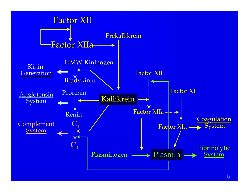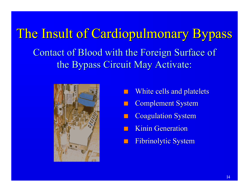The Insult of Cardiopulmonary Bypass Contact of Blood with the Foreign Surface of the Bypass Circuit May Activate:



- White cells and platelets
- **Complement System**
- **Coagulation System**
- **Kinin Generation**
- Fibrinolytic System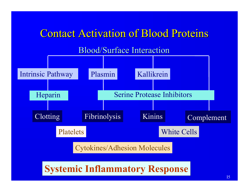#### Contact Activation of Blood Proteins

#### Blood/Surface Interaction

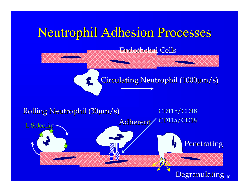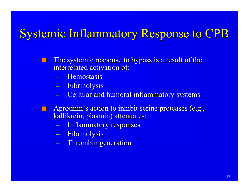#### Systemic Inflammatory Response to CPB

- The systemic response to bypass is a result of the interrelated activation of:
	- Hemostasis
	- Fibrinolysis
	- Cellular and humoral inflammatory systems
- Aprotinin's action to inhibit serine proteases (e.g., kallikrein, plasmin) attenuates:
	- Inflammatory responses
	- Fibrinolysis
	- Thrombin generation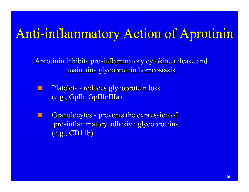#### Anti-inflammatory Action of Aprotinin

Aprotinin inhibits pro-inflammatory cytokine release and maintains glycoprotein homeostasis

- **n Platelets reduces glycoprotein loss** (e.g., GpIb, GpIIb/IIIa)
- Granulocytes prevents the expression of pro-inflammatory adhesive glycoproteins (e.g., CD11b)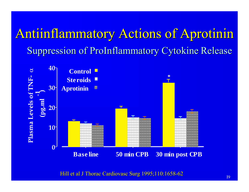### Antiinflammatory Actions of Aprotinin Suppression of ProInflammatory Cytokine Release



Hill et al J Thorac Cardiovasc Surg 1995;110:1658-62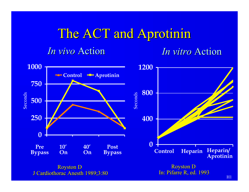# The ACT and Aprotinin

#### *In vivo* Action *In vitro* Action



H1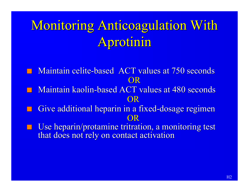### Monitoring Anticoagulation With Aprotinin

- Maintain celite-based ACT values at 750 seconds OR
- Maintain kaolin-based ACT values at 480 seconds OR
- Give additional heparin in a fixed-dosage regimen OR
- Use heparin/protamine tritration, a monitoring test that does not rely on contact activation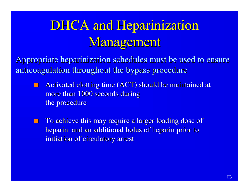### DHCA and Heparinization Management

Appropriate heparinization schedules must be used to ensure anticoagulation throughout the bypass procedure

- Activated clotting time (ACT) should be maintained at more than 1000 seconds during the procedure
- To achieve this may require a larger loading dose of heparin and an additional bolus of heparin prior to initiation of circulatory arrest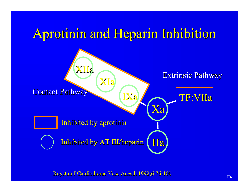### Aprotinin and Heparin Inhibition



Royston J Cardiothorac Vasc Anesth 1992;6:76-100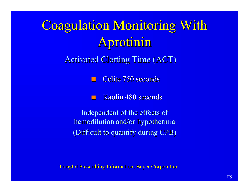### Coagulation Monitoring With Aprotinin

Activated Clotting Time (ACT)

Celite 750 seconds

Kaolin 480 seconds

Independent of the effects of hemodilution and/or hypothermia (Difficult to quantify during CPB)

Trasylol Prescribing Information, Bayer Corporation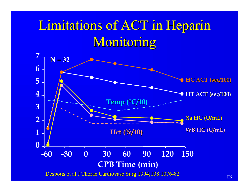### Limitations of ACT in Heparin Monitoring

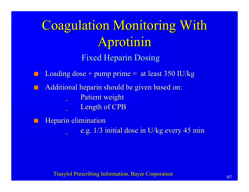# Coagulation Monitoring With Aprotinin

Fixed Heparin Dosing

- Loading dose + pump prime  $=$  at least 350 IU/kg
- Additional heparin should be given based on:
	- Patient weight
	- Length of CPB
- Heparin elimination
	- e.g. 1/3 initial dose in U/kg every 45 min

Trasylol Prescribing Information, Bayer Corporation Figure 1, 1987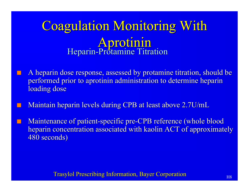#### Coagulation Monitoring With Aprotinin Heparin-Protamine Titration

- A heparin dose response, assessed by protamine titration, should be performed prior to aprotinin administration to determine heparin loading dose
- Maintain heparin levels during CPB at least above 2.7U/mL
- Maintenance of patient-specific pre-CPB reference (whole blood heparin concentration associated with kaolin ACT of approximately 480 seconds)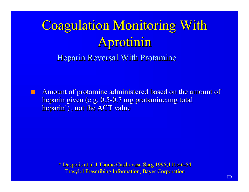# Coagulation Monitoring With Aprotinin

Heparin Reversal With Protamine

Amount of protamine administered based on the amount of heparin given (e.g. 0.5-0.7 mg protamine:mg total heparin\* ) , not the ACT value

> \* Despotis et al J Thorac Cardiovasc Surg 1995;110:46-54 Trasylol Prescribing Information, Bayer Corporation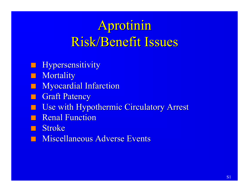### Aprotinin Risk/Benefit Issues

- **n Hypersensitivity**
- **n** Mortality
- **Nyocardial Infarction**
- **n** Graft Patency
- **n Use with Hypothermic Circulatory Arrest**
- **Renal Function**
- n Stroke
- **n Miscellaneous Adverse Events**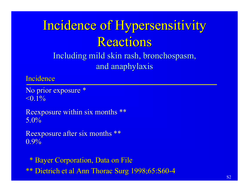### Incidence of Hypersensitivity Reactions

Including mild skin rash, bronchospasm, and anaphylaxis

**Incidence** 

No prior exposure \*  $\leq 0.1\%$ 

Reexposure within six months \*\* 5.0%

Reexposure after six months \*\* 0.9%

 \* Bayer Corporation, Data on File \*\* Dietrich et al Ann Thorac Surg 1998;65:S60-4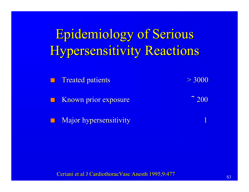### Epidemiology of Serious **Hypersensitivity Reactions**

n Treated patients  $> 3000$ n Known prior exposure ˜ 200

Major hypersensitivity

Ceriani et al J Cardiothorac Vasc Anesth 1995;9:477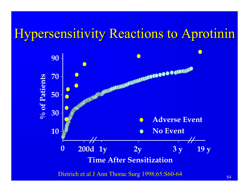#### Hypersensitivity Reactions to Aprotinin



Dietrich et al J Ann Thorac Surg 1998;65:S60-64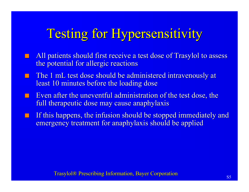### Testing for Hypersensitivity

- All patients should first receive a test dose of Trasylol to assess the potential for allergic reactions
- The 1 mL test dose should be administered intravenously at least 10 minutes before the loading dose
- Even after the uneventful administration of the test dose, the full therapeutic dose may cause anaphylaxis
- **n** If this happens, the infusion should be stopped immediately and emergency treatment for anaphylaxis should be applied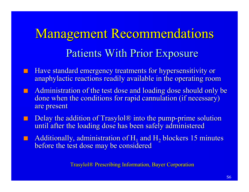## Management Recommendations Patients With Prior Exposure

- **n Have standard emergency treatments for hypersensitivity or** anaphylactic reactions readily available in the operating room
- **n** Administration of the test dose and loading dose should only be done when the conditions for rapid cannulation (if necessary) are present
- Delay the addition of Trasylol<sup>®</sup> into the pump-prime solution until after the loading dose has been safely administered
- $\blacksquare$  Additionally, administration of H<sub>1</sub> and H<sub>2</sub> blockers 15 minutes before the test dose may be considered

Trasylol® Prescribing Information, Bayer Corporation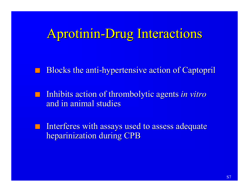#### Aprotinin-Drug Interactions

Blocks the anti-hypertensive action of Captopril

**n** Inhibits action of thrombolytic agents *in vitro* and in animal studies

Interferes with assays used to assess adequate heparinization during CPB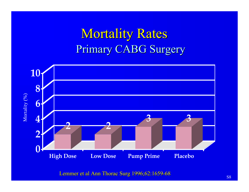### **Mortality Rates** Primary CABG Surgery



Lemmer et al Ann Thorac Surg 1996;62:1659-68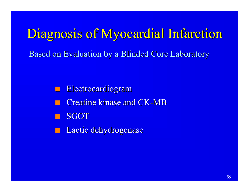# Diagnosis of Myocardial Infarction

Based on Evaluation by a Blinded Core Laboratory

Electrocardiogram **Creatine kinase and CK-MB SGOT** 

**n** Lactic dehydrogenase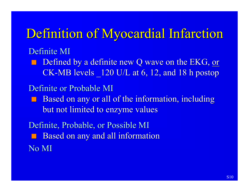### Definition of Myocardial Infarction

#### Definite MI

Defined by a definite new Q wave on the EKG, or CK-MB levels \_120 U/L at 6, 12, and 18 h postop

#### Definite or Probable MI

Based on any or all of the information, including but not limited to enzyme values

Definite, Probable, or Possible MI Based on any and all information No MI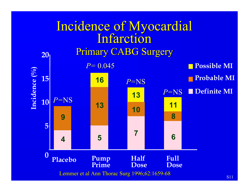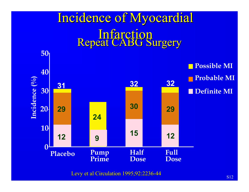

Levy et al Circulation 1995;92:2236-44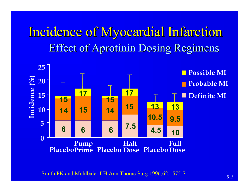### Incidence of Myocardial Infarction Effect of Aprotinin Dosing Regimens



Smith PK and Muhlbaier LH Ann Thorac Surg 1996;62:1575-7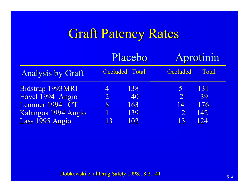### Graft Patency Rates

|                                       | Placebo             |                       | Aprotinin           |           |
|---------------------------------------|---------------------|-----------------------|---------------------|-----------|
| <b>Analysis by Graft</b>              |                     | <b>Occluded Total</b> | Occluded            | Total     |
| Bidstrup 1993 MRI<br>Havel 1994 Angio | 4<br>$\overline{2}$ | 138<br>40             | 5<br>$\overline{2}$ | 131<br>39 |
| Lemmer 1994 CT                        | 8                   | 163                   | 14                  | 176       |
| Kalangos 1994 Angio                   |                     | 139                   | $\overline{2}$      | 142       |
| Lass 1995 Angio                       | 13                  | 102                   | 13                  | 124       |

Dobkowski et al Drug Safety 1998;18:21-41 S14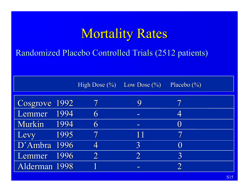### Mortality Rates

Randomized Placebo Controlled Trials (2512 patients)

|               |      | High Dose $(\%)$ Low Dose $(\%)$ |                | Placebo $(\%)$  |
|---------------|------|----------------------------------|----------------|-----------------|
| Cosgrove 1992 |      |                                  | 9              |                 |
| Lemmer        | 1994 | 6                                | $\sim$         | 4               |
| Murkin        | 1994 | 6                                | $\equiv$       | $\bf($          |
| Levy          | 1995 |                                  | 11             | 7               |
| D'Ambra 1996  |      |                                  | 3              | $\left(\right)$ |
| Lemmer        | 1996 |                                  | $\overline{2}$ | 3               |
| Alderman 1998 |      |                                  | $\equiv$       |                 |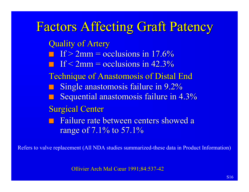#### Factors Affecting Graft Patency

Quality of Artery

 $\Box$  If > 2mm = occlusions in 17.6%

 $\blacksquare$  If < 2mm = occlusions in 42.3%

Technique of Anastomosis of Distal End

Single anastomosis failure in 9.2%

Sequential anastomosis failure in 4.3%

Surgical Center

Failure rate between centers showed a range of 7.1% to 57.1%

Refers to valve replacement (All NDA studies summarized-these data in Product Information)

Ollivier Arch Mal Cœur 1991;84:537-42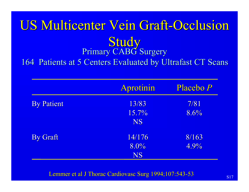#### US Multicenter Vein Graft-Occlusion **Study** Primary CABG Surgery 164 Patients at 5 Centers Evaluated by Ultrafast CT Scans

|                   | Aprotinin | Placebo P |
|-------------------|-----------|-----------|
| <b>By Patient</b> | 13/83     | 7/81      |
|                   | 15.7%     | 8.6%      |
|                   | <b>NS</b> |           |
| <b>By Graft</b>   | 14/176    | 8/163     |
|                   | $ 8.0\% $ | 4.9%      |
|                   | <b>NS</b> |           |

Lemmer et al J Thorac Cardiovasc Surg 1994;107:543-53 S17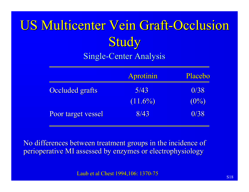# US Multicenter Vein Graft-Occlusion **Study**

#### Single-Center Analysis

|                        | Aprotinin  | Placebo |
|------------------------|------------|---------|
| <b>Occluded grafts</b> | 5/43       | 0/38    |
|                        | $(11.6\%)$ | $(0\%)$ |
| Poor target vessel     | 8/43       | 0/38    |

No differences between treatment groups in the incidence of perioperative MI assessed by enzymes or electrophysiology

Laub et al Chest 1994,106: 1370-75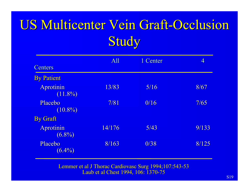### US Multicenter Vein Graft-Occlusion **Study**

|                         | All    | 1 Center | $\overline{4}$ |
|-------------------------|--------|----------|----------------|
| <b>Centers</b>          |        |          |                |
| <b>By Patient</b>       |        |          |                |
| Aprotinin<br>$(11.8\%)$ | 13/83  | 5/16     | 8/67           |
| Placebo<br>$(10.8\%)$   | 7/81   | 0/16     | 7/65           |
| <b>By Graft</b>         |        |          |                |
| Aprotinin<br>$(6.8\%)$  | 14/176 | 5/43     | 9/133          |
| Placebo<br>$(6.4\%)$    | 8/163  | 0/38     | 8/125          |

Lemmer et al J Thorac Cardiovasc Surg 1994;107:543-53 Laub et al Chest 1994, 106: 1370-75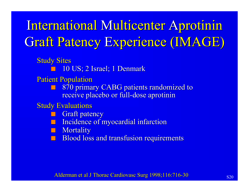### International Multicenter Aprotinin Graft Patency Experience (IMAGE)

**Study Sites** 

n 10 US; 2 Israel; 1 Denmark

Patient Population

870 primary CABG patients randomized to receive placebo or full-dose aprotinin

Study Evaluations

**Graft patency** 

Incidence of myocardial infarction

**n** Mortality

**Blood loss and transfusion requirements**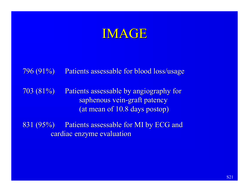#### IMAGE

#### 796 (91%) Patients assessable for blood loss/usage

703 (81%) Patients assessable by angiography for saphenous vein-graft patency (at mean of 10.8 days postop)

831 (95%) Patients assessable for MI by ECG and cardiac enzyme evaluation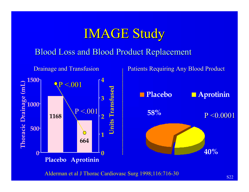### IMAGE Study

#### Blood Loss and Blood Product Replacement



Alderman et al J Thorac Cardiovasc Surg 1998;116:716-30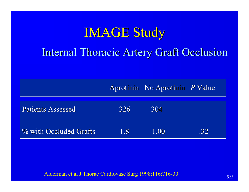# IMAGE Study Internal Thoracic Artery Graft Occlusion

|                          |     | Aprotinin No Aprotinin P Value |     |
|--------------------------|-----|--------------------------------|-----|
| <b>Patients Assessed</b> | 326 | 304                            |     |
| % with Occluded Grafts   | 1.8 | 1.00                           | .32 |

Alderman et al J Thorac Cardiovasc Surg 1998;116:716-30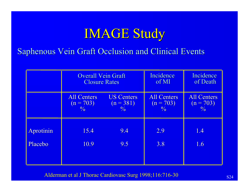### IMAGE Study

Saphenous Vein Graft Occlusion and Clinical Events

|           | <b>Overall Vein Graft</b>                  |                              | Incidence                                  | Incidence                                  |
|-----------|--------------------------------------------|------------------------------|--------------------------------------------|--------------------------------------------|
|           | <b>Closure Rates</b>                       |                              | of MI                                      | of Death                                   |
|           | <b>All Centers</b>                         | <b>US Centers</b>            | <b>All Centers</b>                         | <b>All Centers</b>                         |
|           | $(n = 703)$<br><sup>0</sup> / <sub>0</sub> | $(n = 381)$<br>$\frac{0}{6}$ | $(n = 703)$<br><sup>0</sup> / <sub>0</sub> | $(n = 703)$<br><sup>0</sup> / <sub>0</sub> |
| Aprotinin | 15.4                                       | 9.4                          | 2.9                                        | 1.4                                        |
| Placebo   | 10.9                                       | 9.5                          | 3.8                                        | 1.6                                        |

Alderman et al J Thorac Cardiovasc Surg 1998;116:716-30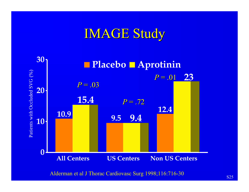### IMAGE Study



Alderman et al J Thorac Cardiovasc Surg 1998;116:716-30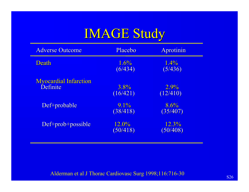## IMAGE Study

| <b>Adverse Outcome</b>                   | Placebo             | Aprotinin           |
|------------------------------------------|---------------------|---------------------|
| Death                                    | 1.6%<br>(6/434)     | $1.4\%$<br>(5/436)  |
| <b>Myocardial Infarction</b><br>Definite | $3.8\%$<br>(16/421) | $2.9\%$<br>(12/410) |
| Def+probable                             | $9.1\%$<br>(38/418) | 8.6%<br>(35/407)    |
| Def+prob+possible                        | 12.0%<br>(50/418)   | 12.3%<br>(50/408)   |

Alderman et al J Thorac Cardiovasc Surg 1998;116:716-30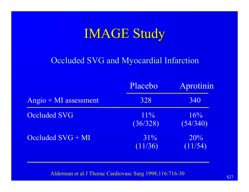## IMAGE Study

#### Occluded SVG and Myocardial Infarction

|                       | Placebo            | Aprotinin       |
|-----------------------|--------------------|-----------------|
| Angio + MI assessment | 328                | 340             |
| <b>Occluded SVG</b>   | $11\%$<br>(36/328) | 16%<br>(54/340) |
| Occluded $SVG + MI$   | 31%<br>(11/36)     | 20%<br>(11/54)  |

Alderman et al J Thorac Cardiovasc Surg 1998;116:716-30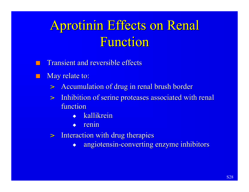# Aprotinin Effects on Renal Function

- **Transient and reversible effects**
- May relate to:
	- Accumulation of drug in renal brush border
	- > Inhibition of serine proteases associated with renal function
		- kallikrein
		- renin
	- > Interaction with drug therapies
		- angiotensin-converting enzyme inhibitors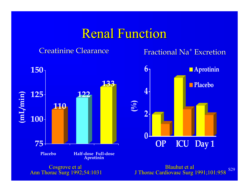#### Renal Function

#### Creatinine Clearance

#### Fractional Na<sup>+</sup> Excretion



Ann Thorac Surg 1992;54:1031

J Thorac Cardiovasc Surg 1991;101:958 S29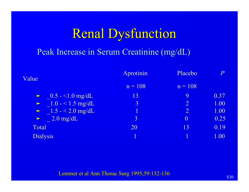### Renal Dysfunction

#### Peak Increase in Serum Creatinine (mg/dL)

| Value                             | <b>Aprotinin</b> | Placebo        | P    |
|-----------------------------------|------------------|----------------|------|
|                                   | $n = 108$        | $n = 108$      |      |
| $\triangleright$ 0.5 - <1.0 mg/dL | 13               | 9              | 0.37 |
| $\geq 1.0 - 1.5$ mg/dL            | $\overline{3}$   | $\overline{2}$ | 1.00 |
| $\geq$ 1.5 - < 2.0 mg/dL          | 1                | $\overline{2}$ | 1.00 |
| $\geq$ 2.0 mg/dL                  | $\overline{3}$   | $\overline{0}$ | 0.25 |
| Total                             | 20               | 13             | 0.19 |
| <b>Dialysis</b>                   |                  |                | 1.00 |
|                                   |                  |                |      |

#### Lemmer et al Ann Thorac Surg 1995;59:132-136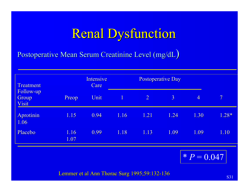### Renal Dysfunction

Postoperative Mean Serum Creatinine Level (mg/dL)

| <b>Treatment</b><br>Follow-up<br><b>Group</b><br><b>Visit</b> |              | <b>Intensive</b><br>Care |              | <b>Postoperative Day</b> |                |                |                         |
|---------------------------------------------------------------|--------------|--------------------------|--------------|--------------------------|----------------|----------------|-------------------------|
|                                                               | Preop        | Unit                     | $\mathbf{1}$ | $\overline{2}$           | $\overline{3}$ | $\overline{4}$ | $\overline{\mathbf{7}}$ |
| Aprotinin<br>1.06                                             | 1.15         | 0.94                     | 1.16         | 1.21                     | 1.24           | 1.30           | $1.28*$                 |
| Placebo                                                       | 1.16<br>1.07 | 0.99                     | 1.18         | 1.13                     | 1.09           | 1.09           | 1.10                    |
|                                                               |              |                          |              |                          |                | $* P = 0.047$  |                         |

Lemmer et al Ann Thorac Surg  $1995;59:132-136$  S31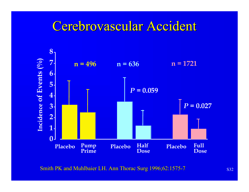#### Cerebrovascular Accident



Smith PK and Muhlbaier LH. Ann Thorac Surg 1996;62:1575-7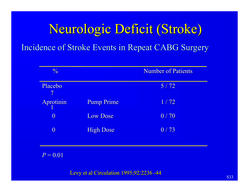# Neurologic Deficit (Stroke) Incidence of Stroke Events in Repeat CABG Surgery

| $\frac{0}{6}$             |                  | <b>Number of Patients</b> |
|---------------------------|------------------|---------------------------|
| Placebo<br>$\overline{7}$ |                  | $5/72$                    |
| Aprotinin                 | Pump Prime       | 1/72                      |
| $\boldsymbol{0}$          | <b>Low Dose</b>  | 0/70                      |
| $\boldsymbol{0}$          | <b>High Dose</b> | 0/73                      |
|                           |                  |                           |
| $P = 0.01$                |                  |                           |

Levy et al Circulation 1995;92:2236 -44